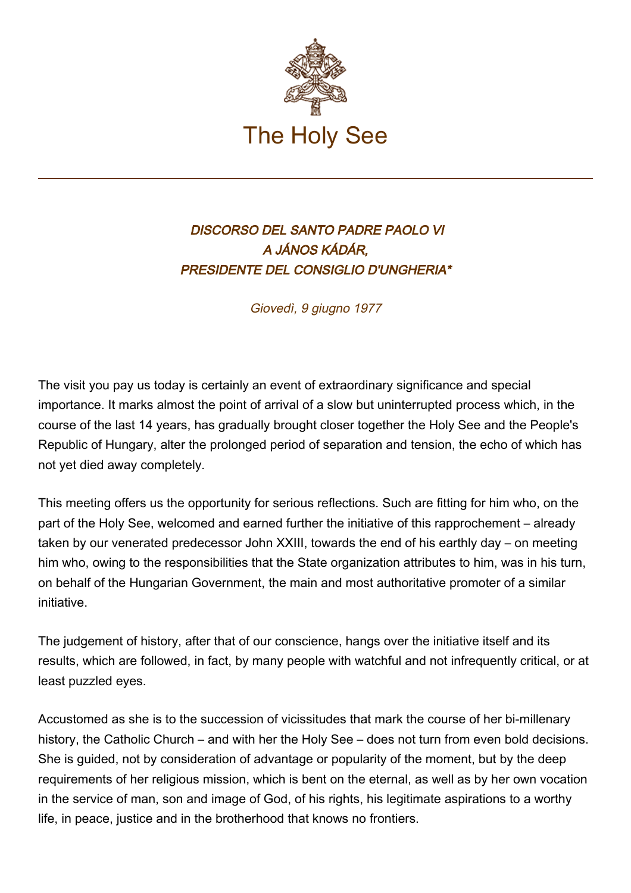

## DISCORSO DEL SANTO PADRE PAOLO VI A JÁNOS KÁDÁR, PRESIDENTE DEL CONSIGLIO D'UNGHERIA\*

Giovedì, 9 giugno 1977

The visit you pay us today is certainly an event of extraordinary significance and special importance. It marks almost the point of arrival of a slow but uninterrupted process which, in the course of the last 14 years, has gradually brought closer together the Holy See and the People's Republic of Hungary, alter the prolonged period of separation and tension, the echo of which has not yet died away completely.

This meeting offers us the opportunity for serious reflections. Such are fitting for him who, on the part of the Holy See, welcomed and earned further the initiative of this rapprochement – already taken by our venerated predecessor John XXIII, towards the end of his earthly day – on meeting him who, owing to the responsibilities that the State organization attributes to him, was in his turn, on behalf of the Hungarian Government, the main and most authoritative promoter of a similar initiative.

The judgement of history, after that of our conscience, hangs over the initiative itself and its results, which are followed, in fact, by many people with watchful and not infrequently critical, or at least puzzled eyes.

Accustomed as she is to the succession of vicissitudes that mark the course of her bi-millenary history, the Catholic Church – and with her the Holy See – does not turn from even bold decisions. She is guided, not by consideration of advantage or popularity of the moment, but by the deep requirements of her religious mission, which is bent on the eternal, as well as by her own vocation in the service of man, son and image of God, of his rights, his legitimate aspirations to a worthy life, in peace, justice and in the brotherhood that knows no frontiers.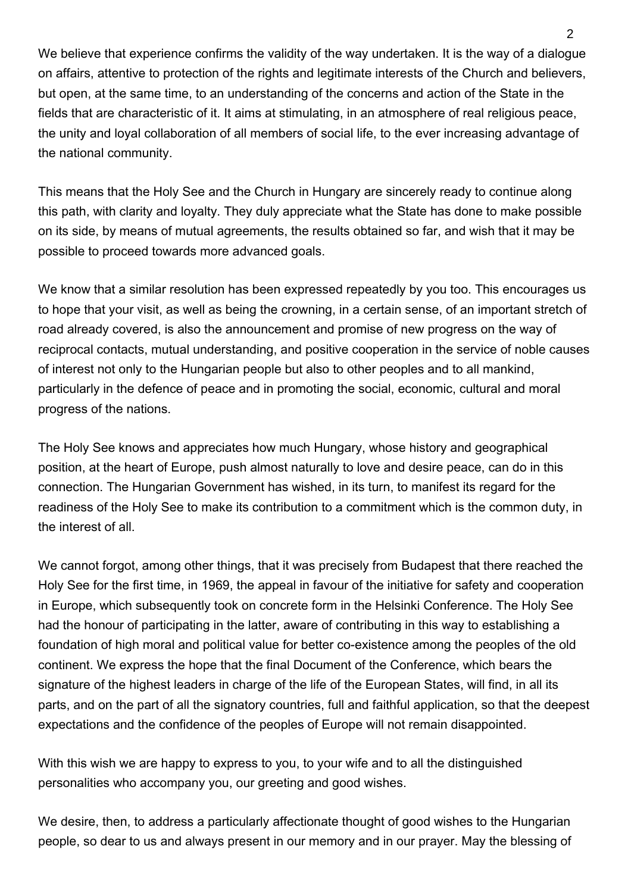We believe that experience confirms the validity of the way undertaken. It is the way of a dialogue on affairs, attentive to protection of the rights and legitimate interests of the Church and believers, but open, at the same time, to an understanding of the concerns and action of the State in the fields that are characteristic of it. It aims at stimulating, in an atmosphere of real religious peace, the unity and loyal collaboration of all members of social life, to the ever increasing advantage of the national community.

This means that the Holy See and the Church in Hungary are sincerely ready to continue along this path, with clarity and loyalty. They duly appreciate what the State has done to make possible on its side, by means of mutual agreements, the results obtained so far, and wish that it may be possible to proceed towards more advanced goals.

We know that a similar resolution has been expressed repeatedly by you too. This encourages us to hope that your visit, as well as being the crowning, in a certain sense, of an important stretch of road already covered, is also the announcement and promise of new progress on the way of reciprocal contacts, mutual understanding, and positive cooperation in the service of noble causes of interest not only to the Hungarian people but also to other peoples and to all mankind, particularly in the defence of peace and in promoting the social, economic, cultural and moral progress of the nations.

The Holy See knows and appreciates how much Hungary, whose history and geographical position, at the heart of Europe, push almost naturally to love and desire peace, can do in this connection. The Hungarian Government has wished, in its turn, to manifest its regard for the readiness of the Holy See to make its contribution to a commitment which is the common duty, in the interest of all.

We cannot forgot, among other things, that it was precisely from Budapest that there reached the Holy See for the first time, in 1969, the appeal in favour of the initiative for safety and cooperation in Europe, which subsequently took on concrete form in the Helsinki Conference. The Holy See had the honour of participating in the latter, aware of contributing in this way to establishing a foundation of high moral and political value for better co-existence among the peoples of the old continent. We express the hope that the final Document of the Conference, which bears the signature of the highest leaders in charge of the life of the European States, will find, in all its parts, and on the part of all the signatory countries, full and faithful application, so that the deepest expectations and the confidence of the peoples of Europe will not remain disappointed.

With this wish we are happy to express to you, to your wife and to all the distinguished personalities who accompany you, our greeting and good wishes.

We desire, then, to address a particularly affectionate thought of good wishes to the Hungarian people, so dear to us and always present in our memory and in our prayer. May the blessing of